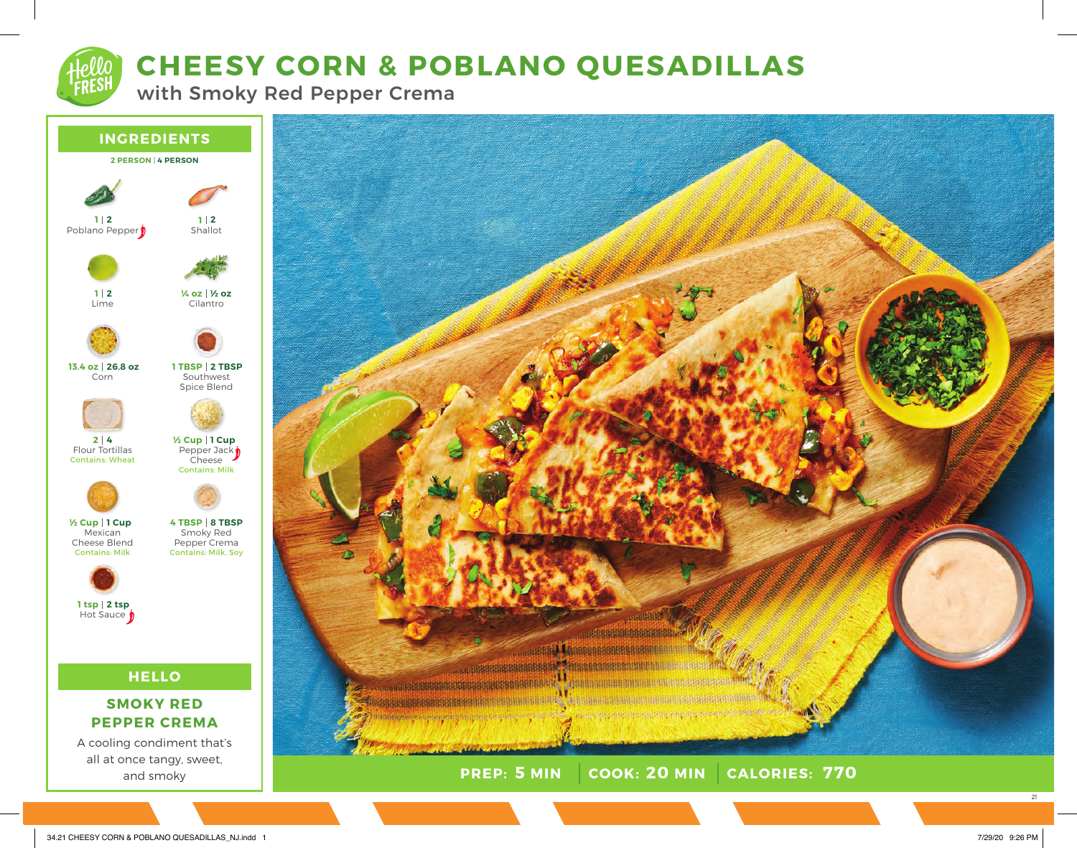# **CHEESY CORN & POBLANO QUESADILLAS**

with Smoky Red Pepper Crema